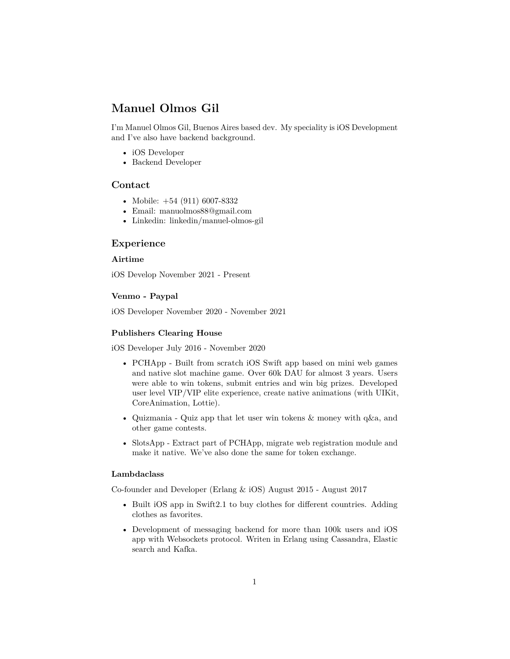# **Manuel Olmos Gil**

I'm Manuel Olmos Gil, Buenos Aires based dev. My speciality is iOS Development and I've also have backend background.

- iOS Developer
- Backend Developer

## **Contact**

- Mobile: +54 (911) 6007-8332
- Email: [manuolmos88@gmail.com](mailto:manuolmos88@gmail.com)
- Linkedin: [linkedin/manuel-olmos-gil](https://www.linkedin.com/in/manuel-olmos-gil)

## **Experience**

## **Airtime**

iOS Develop November 2021 - Present

#### **Venmo - Paypal**

iOS Developer November 2020 - November 2021

#### **Publishers Clearing House**

iOS Developer July 2016 - November 2020

- PCHApp Built from scratch iOS Swift app based on mini web games and native slot machine game. Over 60k DAU for almost 3 years. Users were able to win tokens, submit entries and win big prizes. Developed user level VIP/VIP elite experience, create native animations (with UIKit, CoreAnimation, Lottie).
- Quizmania Quiz app that let user win tokens & money with q&a, and other game contests.
- SlotsApp Extract part of PCHApp, migrate web registration module and make it native. We've also done the same for token exchange.

#### **Lambdaclass**

Co-founder and Developer (Erlang & iOS) August 2015 - August 2017

- Built iOS app in Swift2.1 to buy clothes for different countries. Adding clothes as favorites.
- Development of messaging backend for more than 100k users and iOS app with Websockets protocol. Writen in Erlang using Cassandra, Elastic search and Kafka.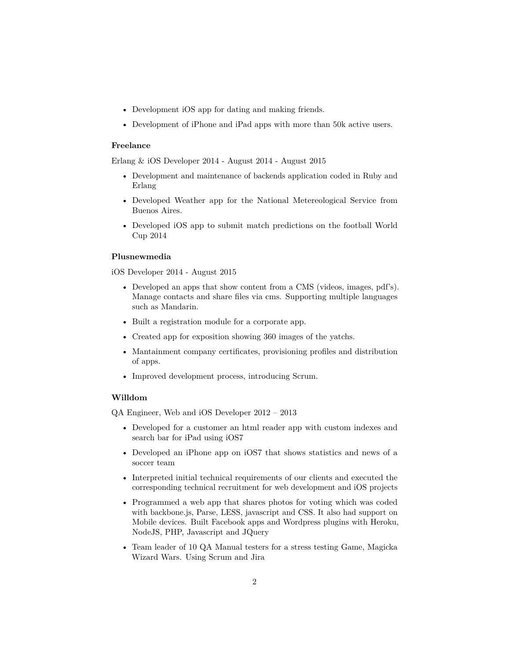- Development iOS app for dating and making friends.
- Development of iPhone and iPad apps with more than 50k active users.

## **Freelance**

Erlang & iOS Developer 2014 - August 2014 - August 2015

- Development and maintenance of backends application coded in Ruby and Erlang
- Developed Weather app for the National Metereological Service from Buenos Aires.
- Developed iOS app to submit match predictions on the football World Cup 2014

#### **Plusnewmedia**

iOS Developer 2014 - August 2015

- Developed an apps that show content from a CMS (videos, images, pdf's). Manage contacts and share files via cms. Supporting multiple languages such as Mandarin.
- Built a registration module for a corporate app.
- Created app for exposition showing 360 images of the yatchs.
- Mantainment company certificates, provisioning profiles and distribution of apps.
- Improved development process, introducing Scrum.

#### **Willdom**

QA Engineer, Web and iOS Developer 2012 – 2013

- Developed for a customer an html reader app with custom indexes and search bar for iPad using iOS7
- Developed an iPhone app on iOS7 that shows statistics and news of a soccer team
- Interpreted initial technical requirements of our clients and executed the corresponding technical recruitment for web development and iOS projects
- Programmed a web app that shares photos for voting which was coded with backbone.js, Parse, LESS, javascript and CSS. It also had support on Mobile devices. Built Facebook apps and Wordpress plugins with Heroku, NodeJS, PHP, Javascript and JQuery
- Team leader of 10 QA Manual testers for a stress testing Game, Magicka Wizard Wars. Using Scrum and Jira